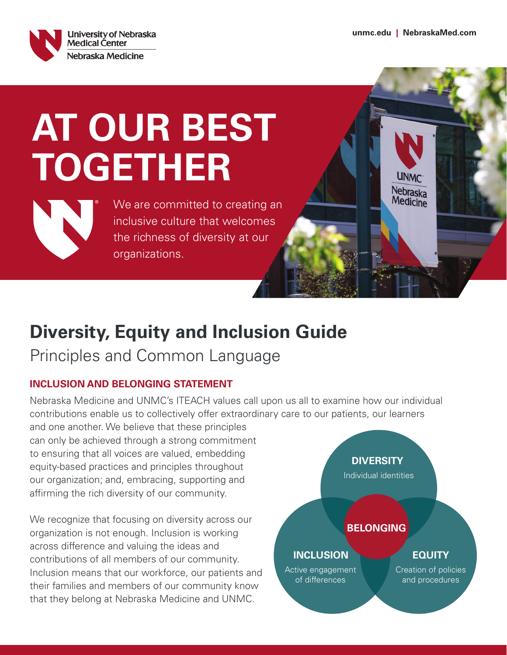**UNMC** Nebraska Medicine



# **AT OUR BEST TOGETHER**



We are committed to creating an inclusive culture that welcomes the richness of diversity at our organizations.

## **Diversity, Equity and Inclusion Guide**

Principles and Common Language

### **INCLUSION AND BELONGING STATEMENT**

Nebraska Medicine and UNMC's ITEACH values call upon us all to examine how our individual contributions enable us to collectively offer extraordinary care to our patients, our learners

and one another. We believe that these principles can only be achieved through a strong commitment to ensuring that all voices are valued, embedding equity-based practices and principles throughout our organization; and, embracing, supporting and affirming the rich diversity of our community.

We recognize that focusing on diversity across our organization is not enough. Inclusion is working across difference and valuing the ideas and contributions of all members of our community. Inclusion means that our workforce, our patients and their families and members of our community know that they belong at Nebraska Medicine and UNMC.